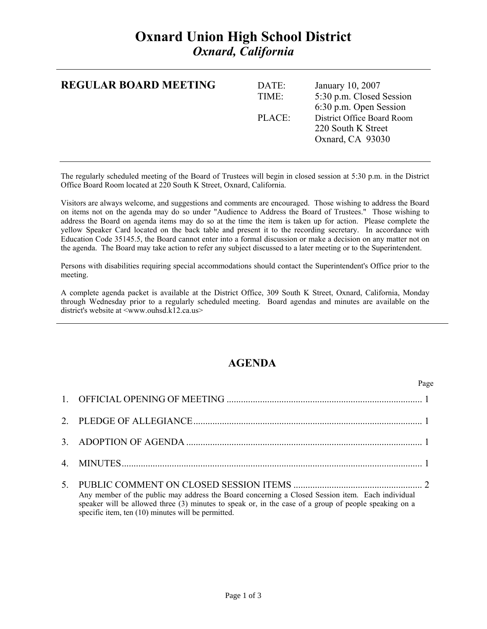## **Oxnard Union High School District**  *Oxnard, California*

| <b>REGULAR BOARD MEETING</b> | DATE:<br>TIME: | January 10, 2007<br>5:30 p.m. Closed Session<br>6:30 p.m. Open Session |
|------------------------------|----------------|------------------------------------------------------------------------|
|                              | PLACE          | District Office Board Room<br>220 South K Street<br>Oxnard, CA 93030   |
|                              |                |                                                                        |

The regularly scheduled meeting of the Board of Trustees will begin in closed session at 5:30 p.m. in the District Office Board Room located at 220 South K Street, Oxnard, California.

Visitors are always welcome, and suggestions and comments are encouraged. Those wishing to address the Board on items not on the agenda may do so under "Audience to Address the Board of Trustees." Those wishing to address the Board on agenda items may do so at the time the item is taken up for action. Please complete the yellow Speaker Card located on the back table and present it to the recording secretary. In accordance with Education Code 35145.5, the Board cannot enter into a formal discussion or make a decision on any matter not on the agenda. The Board may take action to refer any subject discussed to a later meeting or to the Superintendent.

Persons with disabilities requiring special accommodations should contact the Superintendent's Office prior to the meeting.

A complete agenda packet is available at the District Office, 309 South K Street, Oxnard, California, Monday through Wednesday prior to a regularly scheduled meeting. Board agendas and minutes are available on the district's website at <www.ouhsd.k12.ca.us>

## **AGENDA**

Page **Page** 

| Any member of the public may address the Board concerning a Closed Session item. Each individual<br>speaker will be allowed three (3) minutes to speak or, in the case of a group of people speaking on a<br>specific item, ten (10) minutes will be permitted. |
|-----------------------------------------------------------------------------------------------------------------------------------------------------------------------------------------------------------------------------------------------------------------|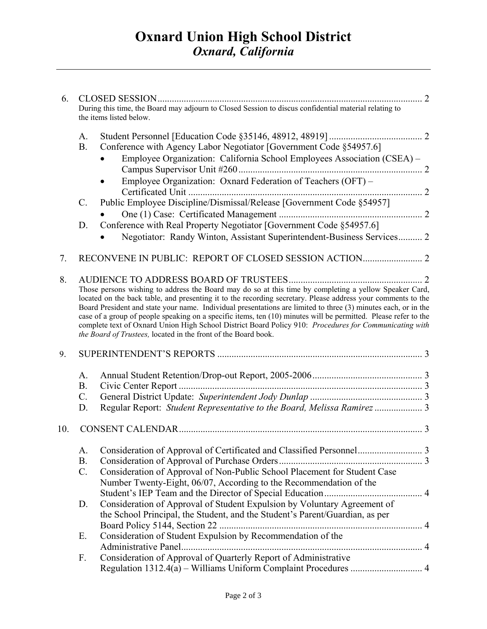## **Oxnard Union High School District**  *Oxnard, California*

| 6.  |                                                                                                                                                                                                                                                                                                                                                                                                                                                                                                                                                                                                                                         | During this time, the Board may adjourn to Closed Session to discus confidential material relating to<br>the items listed below.                                                                                               |  |  |
|-----|-----------------------------------------------------------------------------------------------------------------------------------------------------------------------------------------------------------------------------------------------------------------------------------------------------------------------------------------------------------------------------------------------------------------------------------------------------------------------------------------------------------------------------------------------------------------------------------------------------------------------------------------|--------------------------------------------------------------------------------------------------------------------------------------------------------------------------------------------------------------------------------|--|--|
|     | A.<br><b>B.</b>                                                                                                                                                                                                                                                                                                                                                                                                                                                                                                                                                                                                                         | Conference with Agency Labor Negotiator [Government Code §54957.6]                                                                                                                                                             |  |  |
|     |                                                                                                                                                                                                                                                                                                                                                                                                                                                                                                                                                                                                                                         | Employee Organization: California School Employees Association (CSEA) -                                                                                                                                                        |  |  |
|     |                                                                                                                                                                                                                                                                                                                                                                                                                                                                                                                                                                                                                                         | Employee Organization: Oxnard Federation of Teachers (OFT) -                                                                                                                                                                   |  |  |
|     | $\mathcal{C}$ .                                                                                                                                                                                                                                                                                                                                                                                                                                                                                                                                                                                                                         | Public Employee Discipline/Dismissal/Release [Government Code §54957]                                                                                                                                                          |  |  |
|     |                                                                                                                                                                                                                                                                                                                                                                                                                                                                                                                                                                                                                                         |                                                                                                                                                                                                                                |  |  |
|     | D.                                                                                                                                                                                                                                                                                                                                                                                                                                                                                                                                                                                                                                      | Conference with Real Property Negotiator [Government Code §54957.6]<br>Negotiator: Randy Winton, Assistant Superintendent-Business Services 2                                                                                  |  |  |
|     |                                                                                                                                                                                                                                                                                                                                                                                                                                                                                                                                                                                                                                         |                                                                                                                                                                                                                                |  |  |
| 7.  |                                                                                                                                                                                                                                                                                                                                                                                                                                                                                                                                                                                                                                         |                                                                                                                                                                                                                                |  |  |
| 8.  | Those persons wishing to address the Board may do so at this time by completing a yellow Speaker Card,<br>located on the back table, and presenting it to the recording secretary. Please address your comments to the<br>Board President and state your name. Individual presentations are limited to three (3) minutes each, or in the<br>case of a group of people speaking on a specific items, ten (10) minutes will be permitted. Please refer to the<br>complete text of Oxnard Union High School District Board Policy 910: Procedures for Communicating with<br>the Board of Trustees, located in the front of the Board book. |                                                                                                                                                                                                                                |  |  |
| 9.  |                                                                                                                                                                                                                                                                                                                                                                                                                                                                                                                                                                                                                                         |                                                                                                                                                                                                                                |  |  |
|     | A.<br><b>B.</b><br>$C_{\cdot}$<br>D.                                                                                                                                                                                                                                                                                                                                                                                                                                                                                                                                                                                                    | Regular Report: Student Representative to the Board, Melissa Ramirez  3                                                                                                                                                        |  |  |
| 10. |                                                                                                                                                                                                                                                                                                                                                                                                                                                                                                                                                                                                                                         |                                                                                                                                                                                                                                |  |  |
|     | A.<br><b>B.</b><br>$\mathcal{C}$ .                                                                                                                                                                                                                                                                                                                                                                                                                                                                                                                                                                                                      | Consideration of Approval of Non-Public School Placement for Student Case                                                                                                                                                      |  |  |
|     | D.                                                                                                                                                                                                                                                                                                                                                                                                                                                                                                                                                                                                                                      | Number Twenty-Eight, 06/07, According to the Recommendation of the<br>Consideration of Approval of Student Expulsion by Voluntary Agreement of<br>the School Principal, the Student, and the Student's Parent/Guardian, as per |  |  |
|     | Е.                                                                                                                                                                                                                                                                                                                                                                                                                                                                                                                                                                                                                                      | Consideration of Student Expulsion by Recommendation of the                                                                                                                                                                    |  |  |
|     | F.                                                                                                                                                                                                                                                                                                                                                                                                                                                                                                                                                                                                                                      | Consideration of Approval of Quarterly Report of Administrative                                                                                                                                                                |  |  |